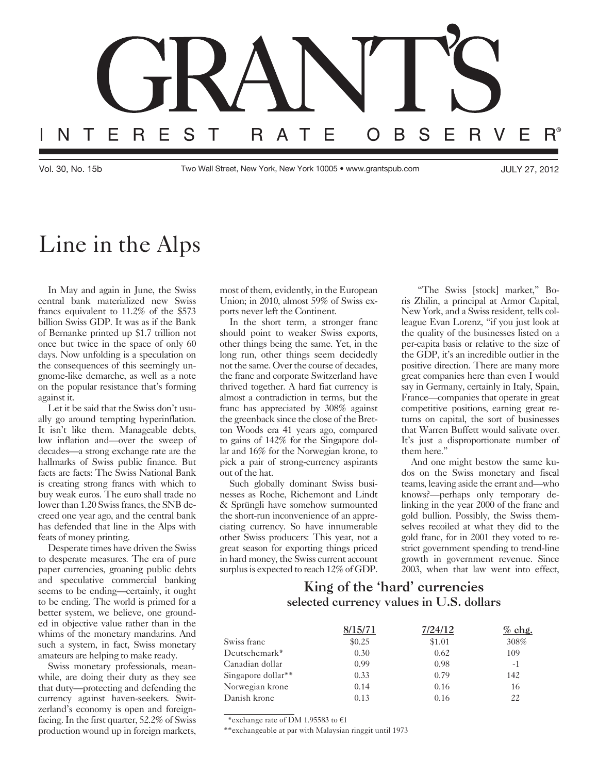

Vol. 30, No. 15b Two Wall Street, New York, New York 10005 • www.grantspub.com JULY 27, 2012

## Line in the Alps

In May and again in June, the Swiss central bank materialized new Swiss francs equivalent to 11.2% of the \$573 billion Swiss GDP. It was as if the Bank of Bernanke printed up \$1.7 trillion not once but twice in the space of only 60 days. Now unfolding is a speculation on the consequences of this seemingly ungnome-like demarche, as well as a note on the popular resistance that's forming against it.

Let it be said that the Swiss don't usually go around tempting hyperinflation. It isn't like them. Manageable debts, low inflation and—over the sweep of decades—a strong exchange rate are the hallmarks of Swiss public finance. But facts are facts: The Swiss National Bank is creating strong francs with which to buy weak euros. The euro shall trade no lower than 1.20 Swiss francs, the SNB decreed one year ago, and the central bank has defended that line in the Alps with feats of money printing.

Desperate times have driven the Swiss to desperate measures. The era of pure paper currencies, groaning public debts and speculative commercial banking seems to be ending—certainly, it ought to be ending. The world is primed for a better system, we believe, one grounded in objective value rather than in the whims of the monetary mandarins. And such a system, in fact, Swiss monetary amateurs are helping to make ready.

Swiss monetary professionals, meanwhile, are doing their duty as they see that duty—protecting and defending the currency against haven-seekers. Switzerland's economy is open and foreignfacing. In the first quarter, 52.2% of Swiss production wound up in foreign markets, most of them, evidently, in the European Union; in 2010, almost 59% of Swiss exports never left the Continent.

In the short term, a stronger franc should point to weaker Swiss exports, other things being the same. Yet, in the long run, other things seem decidedly not the same. Over the course of decades, the franc and corporate Switzerland have thrived together. A hard fiat currency is almost a contradiction in terms, but the franc has appreciated by 308% against the greenback since the close of the Bretton Woods era 41 years ago, compared to gains of 142% for the Singapore dollar and 16% for the Norwegian krone, to pick a pair of strong-currency aspirants out of the hat.

Such globally dominant Swiss businesses as Roche, Richemont and Lindt & Sprüngli have somehow surmounted the short-run inconvenience of an appreciating currency. So have innumerable other Swiss producers: This year, not a great season for exporting things priced in hard money, the Swiss current account surplus is expected to reach 12% of GDP.

 "The Swiss [stock] market," Boris Zhilin, a principal at Armor Capital, New York, and a Swiss resident, tells colleague Evan Lorenz, "if you just look at the quality of the businesses listed on a per-capita basis or relative to the size of the GDP, it's an incredible outlier in the positive direction. There are many more great companies here than even I would say in Germany, certainly in Italy, Spain, France—companies that operate in great competitive positions, earning great returns on capital, the sort of businesses that Warren Buffett would salivate over. It's just a disproportionate number of them here."

And one might bestow the same kudos on the Swiss monetary and fiscal teams, leaving aside the errant and—who knows?—perhaps only temporary delinking in the year 2000 of the franc and gold bullion. Possibly, the Swiss themselves recoiled at what they did to the gold franc, for in 2001 they voted to restrict government spending to trend-line growth in government revenue. Since 2003, when that law went into effect,

## King of the 'hard' currencies selected currency values in U.S. dollars

|                                | 8/15/71 | 7/24/12 | $%$ chg. |
|--------------------------------|---------|---------|----------|
| Swiss franc                    | \$0.25  | \$1.01  | 308%     |
| Deutschemark*                  | 0.30    | 0.62    | 109      |
| Canadian dollar                | 0.99    | 0.98    | $-1$     |
| Singapore dollar <sup>**</sup> | 0.33    | 0.79    | 142      |
| Norwegian krone                | 0.14    | 0.16    | 16       |
| Danish krone                   | 0.13    | 0.16    | 22       |

\*exchange rate of DM 1.95583 to €1

\*\*exchangeable at par with Malaysian ringgit until 1973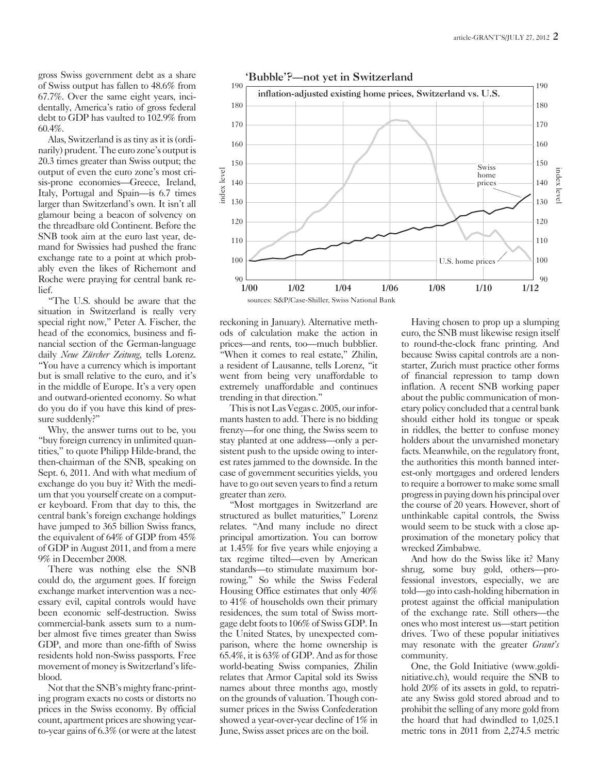gross Swiss government debt as a share of Swiss output has fallen to 48.6% from 67.7%. Over the same eight years, incidentally, America's ratio of gross federal debt to GDP has vaulted to 102.9% from 60.4%.

Alas, Switzerland is as tiny as it is (ordinarily) prudent. The euro zone's output is 20.3 times greater than Swiss output; the output of even the euro zone's most crisis-prone economies—Greece, Ireland, Italy, Portugal and Spain—is 6.7 times larger than Switzerland's own. It isn't all glamour being a beacon of solvency on the threadbare old Continent. Before the SNB took aim at the euro last year, demand for Swissies had pushed the franc exchange rate to a point at which probably even the likes of Richemont and Roche were praying for central bank relief.

"The U.S. should be aware that the situation in Switzerland is really very special right now," Peter A. Fischer, the head of the economics, business and financial section of the German-language daily *Neue Zürcher Zeitung*, tells Lorenz. "You have a currency which is important but is small relative to the euro, and it's in the middle of Europe. It's a very open and outward-oriented economy. So what do you do if you have this kind of pressure suddenly?"

Why, the answer turns out to be, you "buy foreign currency in unlimited quantities," to quote Philipp Hilde-brand, the then-chairman of the SNB, speaking on Sept. 6, 2011. And with what medium of exchange do you buy it? With the medium that you yourself create on a computer keyboard. From that day to this, the central bank's foreign exchange holdings have jumped to 365 billion Swiss francs, the equivalent of 64% of GDP from 45% of GDP in August 2011, and from a mere 9% in December 2008.

There was nothing else the SNB could do, the argument goes. If foreign exchange market intervention was a necessary evil, capital controls would have been economic self-destruction. Swiss commercial-bank assets sum to a number almost five times greater than Swiss GDP, and more than one-fifth of Swiss residents hold non-Swiss passports. Free movement of money is Switzerland's lifeblood.

Not that the SNB's mighty franc-printing program exacts no costs or distorts no prices in the Swiss economy. By official count, apartment prices are showing yearto-year gains of 6.3% (or were at the latest



reckoning in January). Alternative methods of calculation make the action in prices—and rents, too—much bubblier. "When it comes to real estate," Zhilin, a resident of Lausanne, tells Lorenz, "it went from being very unaffordable to extremely unaffordable and continues trending in that direction."

This is not Las Vegas c. 2005, our informants hasten to add. There is no bidding frenzy—for one thing, the Swiss seem to stay planted at one address—only a persistent push to the upside owing to interest rates jammed to the downside. In the case of government securities yields, you have to go out seven years to find a return greater than zero.

"Most mortgages in Switzerland are structured as bullet maturities," Lorenz relates. "And many include no direct principal amortization. You can borrow at 1.45% for five years while enjoying a tax regime tilted—even by American standards—to stimulate maximum borrowing." So while the Swiss Federal Housing Office estimates that only 40% to 41% of households own their primary residences, the sum total of Swiss mortgage debt foots to 106% of Swiss GDP. In the United States, by unexpected comparison, where the home ownership is 65.4%, it is 63% of GDP. And as for those world-beating Swiss companies, Zhilin relates that Armor Capital sold its Swiss names about three months ago, mostly on the grounds of valuation. Though consumer prices in the Swiss Confederation showed a year-over-year decline of 1% in June, Swiss asset prices are on the boil.

Having chosen to prop up a slumping euro, the SNB must likewise resign itself to round-the-clock franc printing. And because Swiss capital controls are a nonstarter, Zurich must practice other forms of financial repression to tamp down inflation. A recent SNB working paper about the public communication of monetary policy concluded that a central bank should either hold its tongue or speak in riddles, the better to confuse money holders about the unvarnished monetary facts. Meanwhile, on the regulatory front, the authorities this month banned interest-only mortgages and ordered lenders to require a borrower to make some small progress in paying down his principal over the course of 20 years. However, short of unthinkable capital controls, the Swiss would seem to be stuck with a close approximation of the monetary policy that wrecked Zimbabwe.

And how do the Swiss like it? Many shrug, some buy gold, others—professional investors, especially, we are told—go into cash-holding hibernation in protest against the official manipulation of the exchange rate. Still others—the ones who most interest us—start petition drives. Two of these popular initiatives may resonate with the greater *Grant's* community.

One, the Gold Initiative (www.goldinitiative.ch), would require the SNB to hold 20% of its assets in gold, to repatriate any Swiss gold stored abroad and to prohibit the selling of any more gold from the hoard that had dwindled to 1,025.1 metric tons in 2011 from 2,274.5 metric